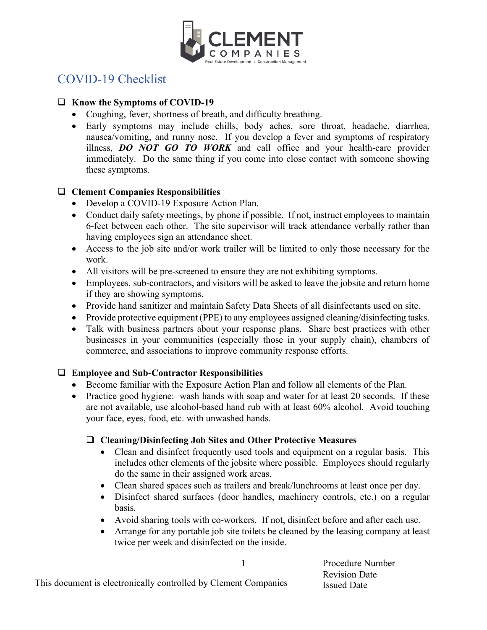

# COVID-19 Checklist

## **□** Know the Symptoms of COVID-19

- Coughing, fever, shortness of breath, and difficulty breathing.
- Early symptoms may include chills, body aches, sore throat, headache, diarrhea, nausea/vomiting, and runny nose. If you develop a fever and symptoms of respiratory illness, *DO NOT GO TO WORK* and call office and your health-care provider immediately. Do the same thing if you come into close contact with someone showing these symptoms.

### q **Clement Companies Responsibilities**

- Develop a COVID-19 Exposure Action Plan.
- Conduct daily safety meetings, by phone if possible. If not, instruct employees to maintain 6-feet between each other. The site supervisor will track attendance verbally rather than having employees sign an attendance sheet.
- Access to the job site and/or work trailer will be limited to only those necessary for the work.
- All visitors will be pre-screened to ensure they are not exhibiting symptoms.
- Employees, sub-contractors, and visitors will be asked to leave the jobsite and return home if they are showing symptoms.
- Provide hand sanitizer and maintain Safety Data Sheets of all disinfectants used on site.
- Provide protective equipment (PPE) to any employees assigned cleaning/disinfecting tasks.
- Talk with business partners about your response plans. Share best practices with other businesses in your communities (especially those in your supply chain), chambers of commerce, and associations to improve community response efforts.

# □ Employee and Sub-Contractor Responsibilities

- Become familiar with the Exposure Action Plan and follow all elements of the Plan.
- Practice good hygiene: wash hands with soap and water for at least 20 seconds. If these are not available, use alcohol-based hand rub with at least 60% alcohol. Avoid touching your face, eyes, food, etc. with unwashed hands.

### □ Cleaning/Disinfecting Job Sites and Other Protective Measures

- Clean and disinfect frequently used tools and equipment on a regular basis. This includes other elements of the jobsite where possible. Employees should regularly do the same in their assigned work areas.
- Clean shared spaces such as trailers and break/lunchrooms at least once per day.
- Disinfect shared surfaces (door handles, machinery controls, etc.) on a regular basis.
- Avoid sharing tools with co-workers. If not, disinfect before and after each use.
- Arrange for any portable job site toilets be cleaned by the leasing company at least twice per week and disinfected on the inside.

Procedure Number Revision Date Issued Date